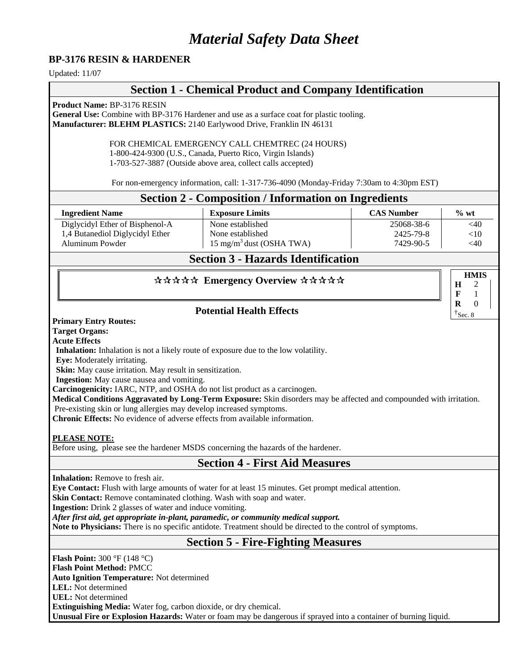# *Material Safety Data Sheet*

#### **BP-3176 RESIN & HARDENER**

Updated: 11/07

## **Section 1 - Chemical Product and Company Identification**

**Product Name:** BP-3176 RESIN

**General Use:** Combine with BP-3176 Hardener and use as a surface coat for plastic tooling. **Manufacturer: BLEHM PLASTICS:** 2140 Earlywood Drive, Franklin IN 46131

FOR CHEMICAL EMERGENCY CALL CHEMTREC (24 HOURS)

1-800-424-9300 (U.S., Canada, Puerto Rico, Virgin Islands)

1-703-527-3887 (Outside above area, collect calls accepted)

For non-emergency information, call: 1-317-736-4090 (Monday-Friday 7:30am to 4:30pm EST)

#### **Section 2 - Composition / Information on Ingredients**

| <b>Ingredient Name</b>          | <b>Exposure Limits</b>               | <b>CAS Number</b> | $\%$ wt |
|---------------------------------|--------------------------------------|-------------------|---------|
| Diglycidyl Ether of Bisphenol-A | None established                     | 25068-38-6        | $<$ 40  |
| 1,4 Butanediol Diglycidyl Ether | None established                     | 2425-79-8         | ${<}10$ |
| Aluminum Powder                 | 15 mg/m <sup>3</sup> dust (OSHA TWA) | 7429-90-5         | <40     |

## **Section 3 - Hazards Identification**

**HMIS**

**H F R** 

#### \*\*\*\*\* Emergency Overview \*\*\*\*\*

#### **Potential Health Effects**

**Primary Entry Routes:**

**Target Organs:**

**Acute Effects**

**Inhalation:** Inhalation is not a likely route of exposure due to the low volatility.

**Eye:** Moderately irritating.

**Skin:** May cause irritation. May result in sensitization.

**Ingestion:** May cause nausea and vomiting.

**Carcinogenicity:** IARC, NTP, and OSHA do not list product as a carcinogen.

**Medical Conditions Aggravated by Long-Term Exposure:** Skin disorders may be affected and compounded with irritation.

Pre**-**existing skin or lung allergies may develop increased symptoms.

**Chronic Effects:** No evidence of adverse effects from available information.

#### **PLEASE NOTE:**

Before using, please see the hardener MSDS concerning the hazards of the hardener.

#### **Section 4 - First Aid Measures**

**Inhalation:** Remove to fresh air.

**Eye Contact:** Flush with large amounts of water for at least 15 minutes. Get prompt medical attention.

**Skin Contact:** Remove contaminated clothing. Wash with soap and water.

**Ingestion:** Drink 2 glasses of water and induce vomiting.

*After first aid, get appropriate in-plant, paramedic, or community medical support.* 

**Note to Physicians:** There is no specific antidote. Treatment should be directed to the control of symptoms.

## **Section 5 - Fire-Fighting Measures**

**Flash Point:** 300 °F (148 °C)

**Flash Point Method:** PMCC

**Auto Ignition Temperature:** Not determined

**LEL:** Not determined **UEL:** Not determined

**Extinguishing Media:** Water fog, carbon dioxide, or dry chemical.

**Unusual Fire or Explosion Hazards:** Water or foam may be dangerous if sprayed into a container of burning liquid.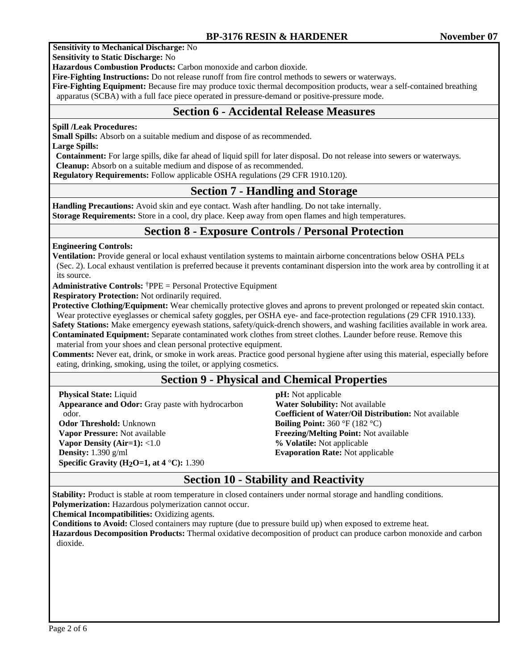#### **Sensitivity to Mechanical Discharge:** No

**Sensitivity to Static Discharge:** No

**Hazardous Combustion Products:** Carbon monoxide and carbon dioxide.

**Fire-Fighting Instructions:** Do not release runoff from fire control methods to sewers or waterways.

**Fire-Fighting Equipment:** Because fire may produce toxic thermal decomposition products, wear a self-contained breathing apparatus (SCBA) with a full face piece operated in pressure-demand or positive-pressure mode.

## **Section 6 - Accidental Release Measures**

#### **Spill /Leak Procedures:**

**Small Spills:** Absorb on a suitable medium and dispose of as recommended.

**Large Spills:** 

**Containment:** For large spills, dike far ahead of liquid spill for later disposal. Do not release into sewers or waterways. **Cleanup:** Absorb on a suitable medium and dispose of as recommended.

 **Regulatory Requirements:** Follow applicable OSHA regulations (29 CFR 1910.120).

## **Section 7 - Handling and Storage**

**Handling Precautions:** Avoid skin and eye contact. Wash after handling. Do not take internally. **Storage Requirements:** Store in a cool, dry place. Keep away from open flames and high temperatures.

## **Section 8 - Exposure Controls / Personal Protection**

**Engineering Controls:**

**Ventilation:** Provide general or local exhaust ventilation systems to maintain airborne concentrations below OSHA PELs (Sec. 2). Local exhaust ventilation is preferred because it prevents contaminant dispersion into the work area by controlling it at its source.

**Administrative Controls:** †PPE = Personal Protective Equipment

**Respiratory Protection:** Not ordinarily required.

**Protective Clothing/Equipment:** Wear chemically protective gloves and aprons to prevent prolonged or repeated skin contact. Wear protective eyeglasses or chemical safety goggles, per OSHA eye- and face-protection regulations (29 CFR 1910.133).

**Safety Stations:** Make emergency eyewash stations, safety/quick-drench showers, and washing facilities available in work area. **Contaminated Equipment:** Separate contaminated work clothes from street clothes. Launder before reuse. Remove this material from your shoes and clean personal protective equipment.

**Comments:** Never eat, drink, or smoke in work areas. Practice good personal hygiene after using this material, especially before eating, drinking, smoking, using the toilet, or applying cosmetics.

## **Section 9 - Physical and Chemical Properties**

**Physical State:** Liquid **Appearance and Odor:** Gray paste with hydrocarbon odor. **Odor Threshold:** Unknown **Vapor Pressure:** Not available **Vapor Density (Air=1):** <1.0 **Density:** 1.390 g/ml **Specific Gravity (H2O=1, at 4** °**C):** 1.390

 **pH:** Not applicable  **Water Solubility:** Not available **Coefficient of Water/Oil Distribution:** Not available **Boiling Point:** 360 °F (182 °C) **Freezing/Melting Point:** Not available **% Volatile:** Not applicable **Evaporation Rate:** Not applicable

## **Section 10 - Stability and Reactivity**

**Stability:** Product is stable at room temperature in closed containers under normal storage and handling conditions.

**Polymerization:** Hazardous polymerization cannot occur.

**Chemical Incompatibilities:** Oxidizing agents.

**Conditions to Avoid:** Closed containers may rupture (due to pressure build up) when exposed to extreme heat.

**Hazardous Decomposition Products:** Thermal oxidative decomposition of product can produce carbon monoxide and carbon dioxide.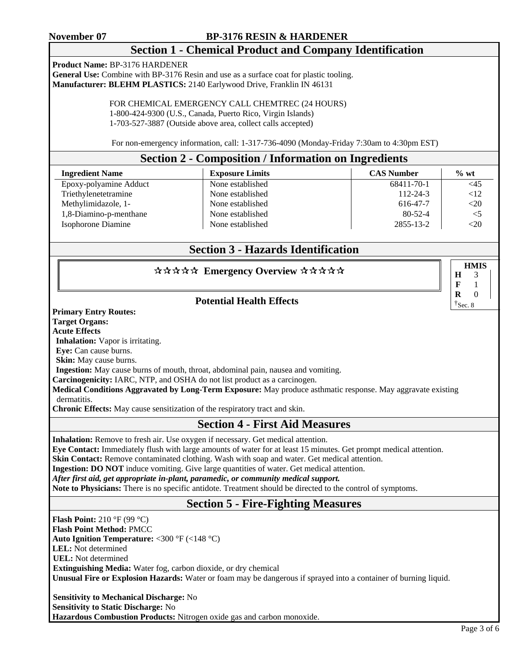#### **November 07 BP-3176 RESIN & HARDENER**

## **Section 1 - Chemical Product and Company Identification**

**Product Name:** BP-3176 HARDENER

**General Use:** Combine with BP-3176 Resin and use as a surface coat for plastic tooling. **Manufacturer: BLEHM PLASTICS:** 2140 Earlywood Drive, Franklin IN 46131

> FOR CHEMICAL EMERGENCY CALL CHEMTREC (24 HOURS) 1-800-424-9300 (U.S., Canada, Puerto Rico, Virgin Islands) 1-703-527-3887 (Outside above area, collect calls accepted)

For non-emergency information, call: 1-317-736-4090 (Monday-Friday 7:30am to 4:30pm EST)

#### **Section 2 - Composition / Information on Ingredients**

| <b>Ingredient Name</b> | <b>Exposure Limits</b> | <b>CAS Number</b> | $\%$ wt  |
|------------------------|------------------------|-------------------|----------|
| Epoxy-polyamine Adduct | None established       | 68411-70-1        | <45      |
| Triethylenetetramine   | None established       | 112-24-3          | <12      |
| Methylimidazole, 1-    | None established       | 616-47-7          | <20      |
| 1,8-Diamino-p-menthane | None established       | $80 - 52 - 4$     | $\leq$ 5 |
| Isophorone Diamine     | None established       | 2855-13-2         | $<$ 20   |

## **Section 3 - Hazards Identification**

#### \*\*\*\*\* Emergency Overview \*\*\*\*\*

#### **Potential Health Effects**

**Primary Entry Routes:**

**Target Organs:**

**Acute Effects**

**Inhalation:** Vapor is irritating.

**Eye:** Can cause burns.

**Skin:** May cause burns.

**Ingestion:** May cause burns of mouth, throat, abdominal pain, nausea and vomiting.

**Carcinogenicity:** IARC, NTP, and OSHA do not list product as a carcinogen.

**Medical Conditions Aggravated by Long-Term Exposure:** May produce asthmatic response. May aggravate existing dermatitis.

**Chronic Effects:** May cause sensitization of the respiratory tract and skin.

#### **Section 4 - First Aid Measures**

**Inhalation:** Remove to fresh air. Use oxygen if necessary. Get medical attention.

**Eye Contact:** Immediately flush with large amounts of water for at least 15 minutes. Get prompt medical attention.

**Skin Contact:** Remove contaminated clothing. Wash with soap and water. Get medical attention.

**Ingestion: DO NOT** induce vomiting. Give large quantities of water. Get medical attention.

*After first aid, get appropriate in-plant, paramedic, or community medical support.* 

**Note to Physicians:** There is no specific antidote. Treatment should be directed to the control of symptoms.

## **Section 5 - Fire-Fighting Measures**

**Flash Point:** 210 °F (99 °C) **Flash Point Method:** PMCC **Auto Ignition Temperature:** <300 °F (<148 °C) **LEL:** Not determined  **UEL:** Not determined  **Extinguishing Media:** Water fog, carbon dioxide, or dry chemical **Unusual Fire or Explosion Hazards:** Water or foam may be dangerous if sprayed into a container of burning liquid.

 **Sensitivity to Mechanical Discharge:** No **Sensitivity to Static Discharge:** No **Hazardous Combustion Products:** Nitrogen oxide gas and carbon monoxide. **HMIS**

**H F R**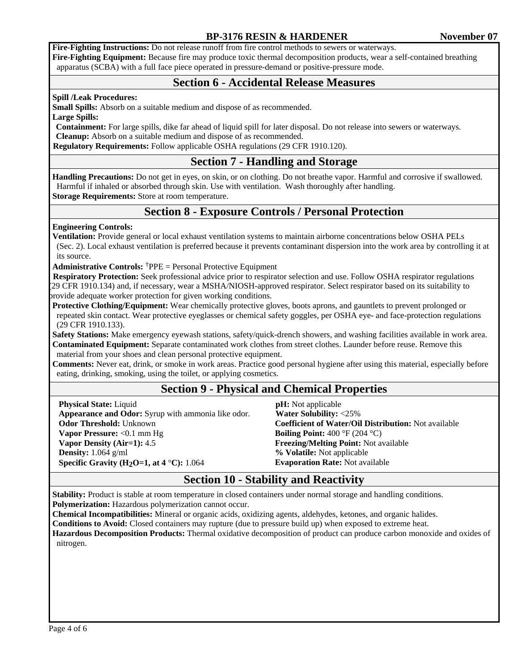#### **BP-3176 RESIN & HARDENER November 07**

**Fire-Fighting Instructions:** Do not release runoff from fire control methods to sewers or waterways.

**Fire-Fighting Equipment:** Because fire may produce toxic thermal decomposition products, wear a self-contained breathing apparatus (SCBA) with a full face piece operated in pressure-demand or positive-pressure mode.

#### **Section 6 - Accidental Release Measures**

#### **Spill /Leak Procedures:**

**Small Spills:** Absorb on a suitable medium and dispose of as recommended. **Large Spills:** 

**Containment:** For large spills, dike far ahead of liquid spill for later disposal. Do not release into sewers or waterways. **Cleanup:** Absorb on a suitable medium and dispose of as recommended.

 **Regulatory Requirements:** Follow applicable OSHA regulations (29 CFR 1910.120).

## **Section 7 - Handling and Storage**

**Handling Precautions:** Do not get in eyes, on skin, or on clothing. Do not breathe vapor. Harmful and corrosive if swallowed. Harmful if inhaled or absorbed through skin. Use with ventilation. Wash thoroughly after handling.

**Storage Requirements:** Store at room temperature.

## **Section 8 - Exposure Controls / Personal Protection**

#### **Engineering Controls:**

**Ventilation:** Provide general or local exhaust ventilation systems to maintain airborne concentrations below OSHA PELs (Sec. 2). Local exhaust ventilation is preferred because it prevents contaminant dispersion into the work area by controlling it at its source.

**Administrative Controls:** †PPE = Personal Protective Equipment

 **Respiratory Protection:** Seek professional advice prior to respirator selection and use. Follow OSHA respirator regulations (29 CFR 1910.134) and, if necessary, wear a MSHA/NIOSH-approved respirator. Select respirator based on its suitability to provide adequate worker protection for given working conditions.

**Protective Clothing/Equipment:** Wear chemically protective gloves, boots aprons, and gauntlets to prevent prolonged or repeated skin contact. Wear protective eyeglasses or chemical safety goggles, per OSHA eye- and face-protection regulations (29 CFR 1910.133).

**Safety Stations:** Make emergency eyewash stations, safety/quick-drench showers, and washing facilities available in work area. **Contaminated Equipment:** Separate contaminated work clothes from street clothes. Launder before reuse. Remove this material from your shoes and clean personal protective equipment.

**Comments:** Never eat, drink, or smoke in work areas. Practice good personal hygiene after using this material, especially before eating, drinking, smoking, using the toilet, or applying cosmetics.

## **Section 9 - Physical and Chemical Properties**

**Physical State:** Liquid **Appearance and Odor:** Syrup with ammonia like odor. **Odor Threshold:** Unknown **Vapor Pressure:** <0.1 mm Hg **Vapor Density (Air=1):** 4.5 **Density:** 1.064 g/ml **Specific Gravity (H2O=1, at 4** °**C):** 1.064

 **pH:** Not applicable  **Water Solubility:** <25% **Coefficient of Water/Oil Distribution:** Not available **Boiling Point:** 400 °F (204 °C) **Freezing/Melting Point:** Not available **% Volatile:** Not applicable **Evaporation Rate:** Not available

## **Section 10 - Stability and Reactivity**

**Stability:** Product is stable at room temperature in closed containers under normal storage and handling conditions. **Polymerization:** Hazardous polymerization cannot occur.

**Chemical Incompatibilities:** Mineral or organic acids, oxidizing agents, aldehydes, ketones, and organic halides.

**Conditions to Avoid:** Closed containers may rupture (due to pressure build up) when exposed to extreme heat.

**Hazardous Decomposition Products:** Thermal oxidative decomposition of product can produce carbon monoxide and oxides of nitrogen.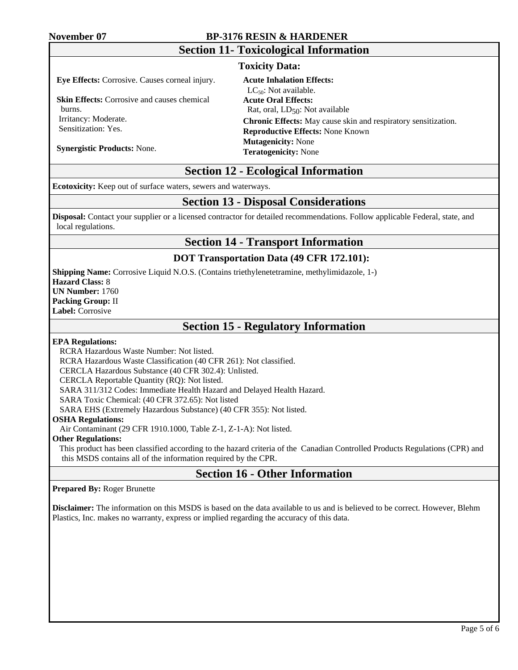#### **November 07 BP-3176 RESIN & HARDENER**

## **Section 11- Toxicological Information**

#### **Toxicity Data:**

**Eye Effects:** Corrosive. Causes corneal injury.

**Skin Effects:** Corrosive and causes chemical burns. Irritancy: Moderate.

Sensitization: Yes.

**Acute Inhalation Effects:**  $LC_{50}$ : Not available. **Acute Oral Effects:** Rat, oral,  $LD_{50}$ : Not available **Chronic Effects:** May cause skin and respiratory sensitization. **Reproductive Effects:** None Known **Mutagenicity:** None **Teratogenicity:** None

**Synergistic Products:** None.

## **Section 12 - Ecological Information**

**Ecotoxicity:** Keep out of surface waters, sewers and waterways.

## **Section 13 - Disposal Considerations**

**Disposal:** Contact your supplier or a licensed contractor for detailed recommendations. Follow applicable Federal, state, and local regulations.

## **Section 14 - Transport Information**

#### **DOT Transportation Data (49 CFR 172.101):**

**Shipping Name:** Corrosive Liquid N.O.S. (Contains triethylenetetramine, methylimidazole, 1-) **Hazard Class:** 8 **UN Number:** 1760 **Packing Group:** II **Label:** Corrosive

## **Section 15 - Regulatory Information**

#### **EPA Regulations:**

RCRA Hazardous Waste Number: Not listed.

RCRA Hazardous Waste Classification (40 CFR 261): Not classified.

CERCLA Hazardous Substance (40 CFR 302.4): Unlisted.

CERCLA Reportable Quantity (RQ): Not listed.

SARA 311/312 Codes: Immediate Health Hazard and Delayed Health Hazard.

SARA Toxic Chemical: (40 CFR 372.65): Not listed

SARA EHS (Extremely Hazardous Substance) (40 CFR 355): Not listed.

#### **OSHA Regulations:**

Air Contaminant (29 CFR 1910.1000, Table Z-1, Z-1-A): Not listed.

#### **Other Regulations:**

This product has been classified according to the hazard criteria of the Canadian Controlled Products Regulations (CPR) and this MSDS contains all of the information required by the CPR.

## **Section 16 - Other Information**

#### **Prepared By:** Roger Brunette

**Disclaimer:** The information on this MSDS is based on the data available to us and is believed to be correct. However, Blehm Plastics, Inc. makes no warranty, express or implied regarding the accuracy of this data.